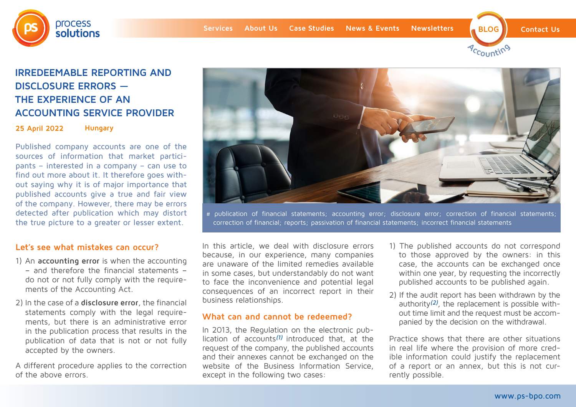





# **IRREDEEMABLE REPORTING AND DISCLOSURE ERRORS — THE EXPERIENCE OF AN ACCOUNTING SERVICE PROVIDER**

**25 April 2022 Hungary**

Published company accounts are one of the sources of information that market participants – interested in a company – can use to find out more about it. It therefore goes without saying why it is of major importance that published accounts give a true and fair view of the company. However, there may be errors detected after publication which may distort the true picture to a greater or lesser extent.

## **Let's see what mistakes can occur?**

- 1) An **accounting error** is when the accounting – and therefore the financial statements – do not or not fully comply with the requirements of the Accounting Act.
- 2) In the case of a **disclosure error**, the financial statements comply with the legal requirements, but there is an administrative error in the publication process that results in the publication of data that is not or not fully accepted by the owners.

A different procedure applies to the correction of the above errors.



# publication of financial statements; accounting error; disclosure error; correction of financial statements; correction of financial; reports; passivation of financial statements; incorrect financial statements

In this article, we deal with disclosure errors because, in our experience, many companies are unaware of the limited remedies available in some cases, but understandably do not want to face the inconvenience and potential legal consequences of an incorrect report in their business relationships.

## **What can and cannot be redeemed?**

In 2013, the Regulation on the electronic publication of accounts<sup> $(1)$ </sup> introduced that, at the request of the company, the published accounts and their annexes cannot be exchanged on the website of the Business Information Service, except in the following two cases:

- 1) The published accounts do not correspond to those approved by the owners: in this case, the accounts can be exchanged once within one year, by requesting the incorrectly published accounts to be published again.
- 2) If the audit report has been withdrawn by the authority<sup>(2)</sup>, the replacement is possible without time limit and the request must be accompanied by the decision on the withdrawal.

Practice shows that there are other situations in real life where the provision of more credible information could justify the replacement of a report or an annex, but this is not currently possible.